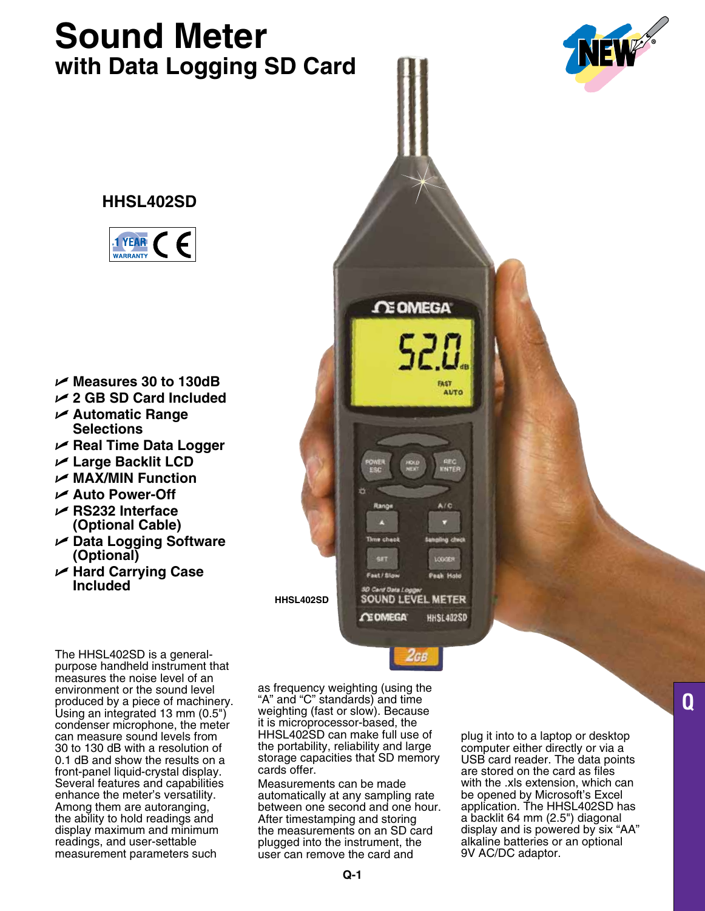# **Sound Meter with Data Logging SD Card**



## **HHSL402SD**



- U **Measures 30 to 130dB**
- U **2 GB SD Card Included**
- U **Automatic Range Selections**
- U **Real Time Data Logger**
- U **Large Backlit LCD**
- U **MAX/MIN Function**
- U **Auto Power-Off**
- U **RS232 Interface (Optional Cable)**
- U **Data Logging Software (Optional)**
- U **Hard Carrying Case Included**

The HHSL402SD is a generalpurpose handheld instrument that measures the noise level of an environment or the sound level produced by a piece of machinery. Using an integrated 13 mm (0.5") condenser microphone, the meter can measure sound levels from 30 to 130 dB with a resolution of 0.1 dB and show the results on a front-panel liquid-crystal display. Several features and capabilities enhance the meter's versatility. Among them are autoranging, the ability to hold readings and display maximum and minimum readings, and user-settable measurement parameters such

as frequency weighting (using the "A" and "C" standards) and time weighting (fast or slow). Because it is microprocessor-based, the HHSL402SD can make full use of the portability, reliability and large storage capacities that SD memory cards offer.

Fast / Slov

D Card Data Lo

**CE OMEGA** 

**SOUND LEVEL METER** 

**CE OMEGA** 

FAST **AUTO** 

Pask Ho

**HHSL402SD** 

**HHSL402SD**

Measurements can be made automatically at any sampling rate between one second and one hour. After timestamping and storing the measurements on an SD card plugged into the instrument, the user can remove the card and

plug it into to a laptop or desktop computer either directly or via a USB card reader. The data points are stored on the card as files with the .xls extension, which can be opened by Microsoft's Excel application. The HHSL402SD has a backlit 64 mm (2.5") diagonal display and is powered by six "AA" alkaline batteries or an optional 9V AC/DC adaptor.